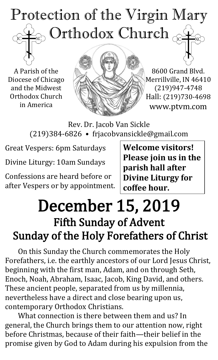## Protection of the Virgin Mary Orthodox Church  $\overline{C}$

A Parish of the Diocese of Chicago and the Midwest Orthodox Church in America



8600 Grand Blvd. Merrillville, IN 46410 (219)947-4748 Hall: (219)730-4698 www.ptvm.com

Rev. Dr. Jacob Van Sickle (219)384-6826 • frjacobvansickle@gmail.com

Great Vespers: 6pm Saturdays

Divine Liturgy: 10am Sundays

Confessions are heard before or after Vespers or by appointment. **Welcome visitors! Please join us in the parish hall after Divine Liturgy for coffee hour.**

## December 15, 2019 Fifth Sunday of Advent Sunday of the Holy Forefathers of Christ

On this Sunday the Church commemorates the Holy Forefathers, i.e. the earthly ancestors of our Lord Jesus Christ, beginning with the first man, Adam, and on through Seth, Enoch, Noah, Abraham, Isaac, Jacob, King David, and others. These ancient people, separated from us by millennia, nevertheless have a direct and close bearing upon us, contemporary Orthodox Christians.

What connection is there between them and us? In general, the Church brings them to our attention now, right before Christmas, because of their faith—their belief in the promise given by God to Adam during his expulsion from the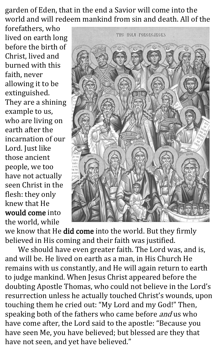garden of Eden, that in the end a Savior will come into the world and will redeem mankind from sin and death. All of the

forefathers, who lived on earth long before the birth of Christ, lived and burned with this faith, never allowing it to be extinguished. They are a shining example to us, who are living on earth after the incarnation of our Lord. Just like those ancient people, we too have not actually seen Christ in the flesh: they only knew that He would come into the world, while



we know that He did come into the world. But they firmly believed in His coming and their faith was justified.

We should have even greater faith. The Lord was, and is, and will be. He lived on earth as a man, in His Church He remains with us constantly, and He will again return to earth to judge mankind. When Jesus Christ appeared before the doubting Apostle Thomas, who could not believe in the Lord's resurrection unless he actually touched Christ's wounds, upon touching them he cried out: "My Lord and my God!" Then, speaking both of the fathers who came before *and* us who have come after, the Lord said to the apostle: "Because you have seen Me, you have believed; but blessed are they that have not seen, and yet have believed."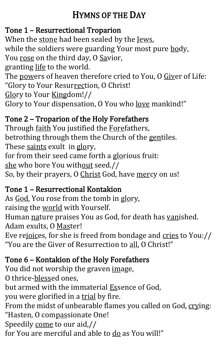## HYMNS OF THE DAY

## Tone 1 – Resurrectional Troparion

When the stone had been sealed by the Jews, while the soldiers were guarding Your most pure body, You rose on the third day, O Savior, granting life to the world. The powers of heaven therefore cried to You, O Giver of Life: "Glory to Your Resurrection, O Christ!

Glory to Your Kingdom!//

Glory to Your dispensation, O You who <u>love</u> mankind!"

#### Tone 2 – Troparion of the Holy Forefathers

Through faith You justified the Forefathers, betrothing through them the Church of the gentiles. These saints exult in glory, for from their seed came forth a glorious fruit: she who bore You without seed.// So, by their prayers, O Christ God, have mercy on us!

#### Tone 1 – Resurrectional Kontakion

As God, You rose from the tomb in glory, raising the world with Yourself. Human nature praises You as God, for death has vanished. Adam exults, O Master! Eve rejoices, for she is freed from bondage and cries to You:// "You are the Giver of Resurrection to all, O Christ!"

### Tone 6 – Kontakion of the Holy Forefathers

You did not worship the graven image, O thrice-blessed ones, but armed with the immaterial Essence of God, you were glorified in a trial by fire. From the midst of unbearable flames you called on God, crying: "Hasten, O compassionate One! Speedily come to our aid,// for You are merciful and able to do as You will!"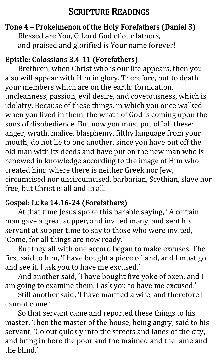### SCRIPTURE READINGS

#### Tone 4 – Prokeimenon of the Holy Forefathers (Daniel 3) Blessed are You, O Lord God of our fathers, and praised and glorified is Your name forever!

#### Epistle: Colossians 3.4-11 (Forefathers)

Brethren, when Christ who is our life appears, then you also will appear with Him in glory. Therefore, put to death your members which are on the earth: fornication, uncleanness, passion, evil desire, and covetousness, which is idolatry. Because of these things, in which you once walked when you lived in them, the wrath of God is coming upon the sons of disobedience. But now you must put off all these: anger, wrath, malice, blasphemy, filthy language from your mouth; do not lie to one another, since you have put off the old man with its deeds and have put on the new man who is renewed in knowledge according to the image of Him who created him: where there is neither Greek nor Jew, circumcised nor uncircumcised, barbarian, Scythian, slave nor free, but Christ is all and in all.

#### Gospel: Luke 14.16-24 (Forefathers)

At that time Jesus spoke this parable saying, "A certain man gave a great supper, and invited many, and sent his servant at supper time to say to those who were invited, 'Come, for all things are now ready.'

But they all with one accord began to make excuses. The first said to him, 'I have bought a piece of land, and I must go and see it. I ask you to have me excused.'

And another said, 'I have bought five yoke of oxen, and I am going to examine them. I ask you to have me excused.'

Still another said, 'I have married a wife, and therefore I cannot come.'

So that servant came and reported these things to his master. Then the master of the house, being angry, said to his servant, 'Go out quickly into the streets and lanes of the city, and bring in here the poor and the maimed and the lame and the blind.'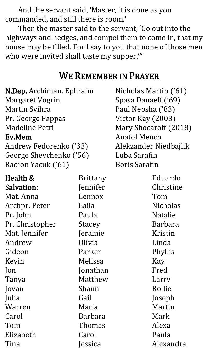And the servant said, 'Master, it is done as you commanded, and still there is room.'

Then the master said to the servant, 'Go out into the highways and hedges, and compel them to come in, that my house may be filled. For I say to you that none of those men who were invited shall taste my supper.'"

#### WE REMEMBER IN PRAYER

| N.Dep. Archiman. Ephraim |
|--------------------------|
| <b>Margaret Vogrin</b>   |
| Martin Svihra            |
| Pr. George Pappas        |
| Madeline Petri           |
| Ev.Mem                   |
| Andrew Fedorenko ('33)   |
| George Shevchenko ('56)  |
| Radion Yacuk ('61)       |
|                          |

Health & Salvation: Mat. Anna Archpr. Peter Pr. John Pr. Christopher Mat. Jennifer Andrew Gideon Kevin Jon Tanya Jovan Julia Warren Carol Tom Elizabeth Tina Brittany Jennifer Lennox Laila Paula Stacey Jeramie Olivia Parker Melissa Jonathan Matthew Shaun Gail Maria Barbara Thomas Carol Jessica

Nicholas Martin ('61) Spasa Danaeff ('69) Paul Nepsha ('83) Victor Kay (2003) Mary Shocaroff (2018) Anatol Meuch Alekzander Niedbajlik Luba Sarafin Boris Sarafin

> Eduardo Christine Tom Nicholas Natalie Barbara Kristin Linda Phyllis Kay Fred Larry Rollie Joseph Martin Mark Alexa Paula Alexandra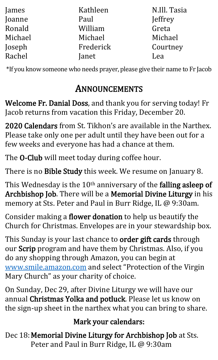| James   | Kathleen  | N.Ill. Tasia |
|---------|-----------|--------------|
| Joanne  | Paul      | Jeffrey      |
| Ronald  | William   | Greta        |
| Michael | Michael   | Michael      |
| Joseph  | Frederick | Courtney     |
| Rachel  | Janet     | Lea          |

\*If you know someone who needs prayer, please give their name to Fr Jacob

## ANNOUNCEMENTS

Welcome Fr. Danial Doss, and thank you for serving today! Fr Jacob returns from vacation this Friday, December 20.

2020 Calendars from St. Tikhon's are available in the Narthex. Please take only one per adult until they have been out for a few weeks and everyone has had a chance at them.

The **O-Club** will meet today during coffee hour.

There is no Bible Study this week. We resume on January 8.

This Wednesday is the 10<sup>th</sup> anniversary of the **falling asleep of** Archbishop Job. There will be a Memorial Divine Liturgy in his memory at Sts. Peter and Paul in Burr Ridge, IL @ 9:30am.

Consider making a flower donation to help us beautify the Church for Christmas. Envelopes are in your stewardship box.

This Sunday is your last chance to order gift cards through our Scrip program and have them by Christmas. Also, if you do any shopping through Amazon, you can begin at [www.smile.amazon.com](http://www.smile.amazon.com/) and select "Protection of the Virgin Mary Church" as your charity of choice.

On Sunday, Dec 29, after Divine Liturgy we will have our annual Christmas Yolka and potluck. Please let us know on the sign-up sheet in the narthex what you can bring to share.

#### Mark your calendars:

Dec 18: Memorial Divine Liturgy for Archbishop Job at Sts. Peter and Paul in Burr Ridge, IL @ 9:30am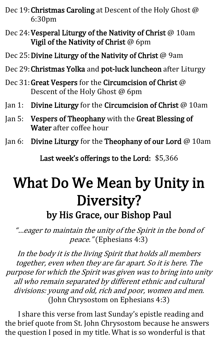- Dec 19: Christmas Caroling at Descent of the Holy Ghost @ 6:30pm
- Dec 24: Vesperal Liturgy of the Nativity of Christ @ 10am Vigil of the Nativity of Christ @ 6pm
- Dec 25: Divine Liturgy of the Nativity of Christ @ 9am
- Dec 29: Christmas Yolka and pot-luck luncheon after Liturgy
- Dec 31: Great Vespers for the Circumcision of Christ @ Descent of the Holy Ghost @ 6pm
- Jan 1: Divine Liturgy for the Circumcision of Christ @ 10am
- Jan 5: Vespers of Theophany with the Great Blessing of Water after coffee hour
- Jan 6: Divine Liturgy for the Theophany of our Lord @ 10am

Last week's offerings to the Lord: \$5,366

## What Do We Mean by Unity in Diversity? by His Grace, our Bishop Paul

"…eager to maintain the unity of the Spirit in the bond of peace." (Ephesians 4:3)

In the body it is the living Spirit that holds all members together, even when they are far apart. So it is here. The purpose for which the Spirit was given was to bring into unity all who remain separated by different ethnic and cultural divisions: young and old, rich and poor, women and men. (John Chrysostom on Ephesians 4:3)

I share this verse from last Sunday's epistle reading and the brief quote from St. John Chrysostom because he answers the question I posed in my title. What is so wonderful is that